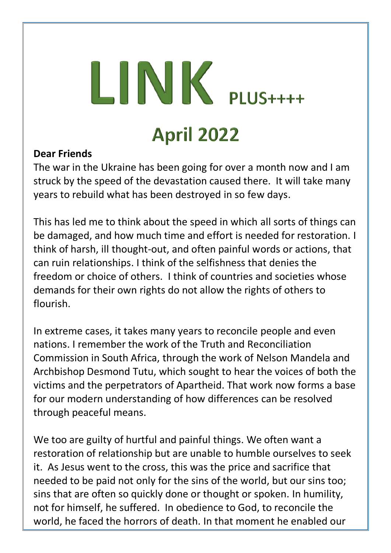# $LINK$  PLUS++++ **April 2022**

#### **Dear Friends**

The war in the Ukraine has been going for over a month now and I am struck by the speed of the devastation caused there. It will take many years to rebuild what has been destroyed in so few days.

This has led me to think about the speed in which all sorts of things can be damaged, and how much time and effort is needed for restoration. I think of harsh, ill thought-out, and often painful words or actions, that can ruin relationships. I think of the selfishness that denies the freedom or choice of others. I think of countries and societies whose demands for their own rights do not allow the rights of others to flourish.

In extreme cases, it takes many years to reconcile people and even nations. I remember the work of the Truth and Reconciliation Commission in South Africa, through the work of Nelson Mandela and Archbishop Desmond Tutu, which sought to hear the voices of both the victims and the perpetrators of Apartheid. That work now forms a base for our modern understanding of how differences can be resolved through peaceful means.

We too are guilty of hurtful and painful things. We often want a restoration of relationship but are unable to humble ourselves to seek it. As Jesus went to the cross, this was the price and sacrifice that needed to be paid not only for the sins of the world, but our sins too; sins that are often so quickly done or thought or spoken. In humility, not for himself, he suffered. In obedience to God, to reconcile the world, he faced the horrors of death. In that moment he enabled our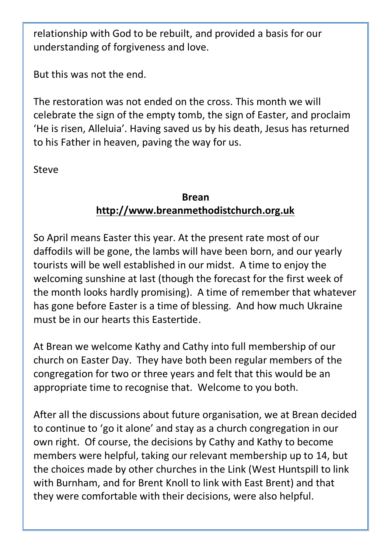relationship with God to be rebuilt, and provided a basis for our understanding of forgiveness and love.

But this was not the end.

The restoration was not ended on the cross. This month we will celebrate the sign of the empty tomb, the sign of Easter, and proclaim 'He is risen, Alleluia'. Having saved us by his death, Jesus has returned to his Father in heaven, paving the way for us.

Steve

#### **Brean [http://www.breanmethodistchurch.org.uk](http://www.breanmethodistchurch.org.uk/)**

So April means Easter this year. At the present rate most of our daffodils will be gone, the lambs will have been born, and our yearly tourists will be well established in our midst. A time to enjoy the welcoming sunshine at last (though the forecast for the first week of the month looks hardly promising). A time of remember that whatever has gone before Easter is a time of blessing. And how much Ukraine must be in our hearts this Eastertide.

At Brean we welcome Kathy and Cathy into full membership of our church on Easter Day. They have both been regular members of the congregation for two or three years and felt that this would be an appropriate time to recognise that. Welcome to you both.

After all the discussions about future organisation, we at Brean decided to continue to 'go it alone' and stay as a church congregation in our own right. Of course, the decisions by Cathy and Kathy to become members were helpful, taking our relevant membership up to 14, but the choices made by other churches in the Link (West Huntspill to link with Burnham, and for Brent Knoll to link with East Brent) and that they were comfortable with their decisions, were also helpful.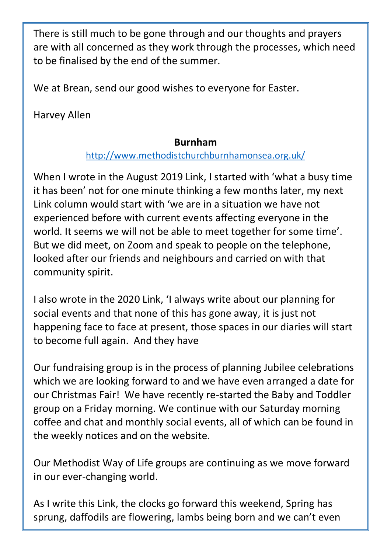There is still much to be gone through and our thoughts and prayers are with all concerned as they work through the processes, which need to be finalised by the end of the summer.

We at Brean, send our good wishes to everyone for Easter.

Harvey Allen

#### **Burnham**

#### <http://www.methodistchurchburnhamonsea.org.uk/>

When I wrote in the August 2019 Link, I started with 'what a busy time it has been' not for one minute thinking a few months later, my next Link column would start with 'we are in a situation we have not experienced before with current events affecting everyone in the world. It seems we will not be able to meet together for some time'. But we did meet, on Zoom and speak to people on the telephone, looked after our friends and neighbours and carried on with that community spirit.

I also wrote in the 2020 Link, 'I always write about our planning for social events and that none of this has gone away, it is just not happening face to face at present, those spaces in our diaries will start to become full again. And they have

Our fundraising group is in the process of planning Jubilee celebrations which we are looking forward to and we have even arranged a date for our Christmas Fair! We have recently re-started the Baby and Toddler group on a Friday morning. We continue with our Saturday morning coffee and chat and monthly social events, all of which can be found in the weekly notices and on the website.

Our Methodist Way of Life groups are continuing as we move forward in our ever-changing world.

As I write this Link, the clocks go forward this weekend, Spring has sprung, daffodils are flowering, lambs being born and we can't even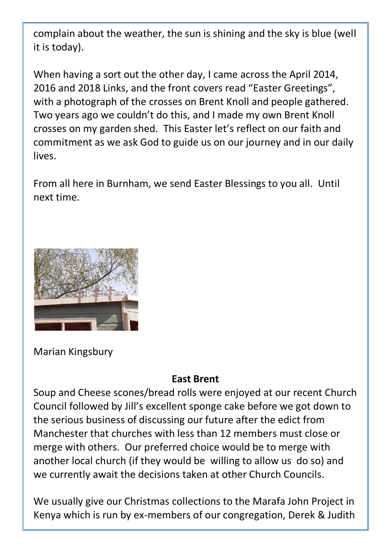complain about the weather, the sun is shining and the sky is blue (well it is today).

When having a sort out the other day, I came across the April 2014, 2016 and 2018 Links, and the front covers read "Easter Greetings", with a photograph of the crosses on Brent Knoll and people gathered. Two years ago we couldn't do this, and I made my own Brent Knoll crosses on my garden shed. This Easter let's reflect on our faith and commitment as we ask God to guide us on our journey and in our daily lives.

From all here in Burnham, we send Easter Blessings to you all. Until next time.



Marian Kingsbury

#### **East Brent**

Soup and Cheese scones/bread rolls were enjoyed at our recent Church Council followed by Jill's excellent sponge cake before we got down to the serious business of discussing our future after the edict from Manchester that churches with less than 12 members must close or merge with others. Our preferred choice would be to merge with another local church (if they would be willing to allow us do so) and we currently await the decisions taken at other Church Councils.

We usually give our Christmas collections to the Marafa John Project in Kenya which is run by ex-members of our congregation, Derek & Judith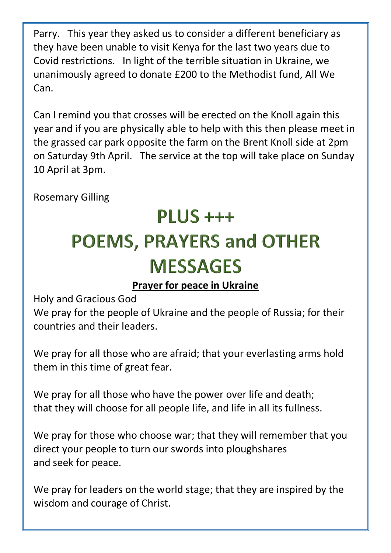Parry. This year they asked us to consider a different beneficiary as they have been unable to visit Kenya for the last two years due to Covid restrictions. In light of the terrible situation in Ukraine, we unanimously agreed to donate £200 to the Methodist fund, All We Can.

Can I remind you that crosses will be erected on the Knoll again this year and if you are physically able to help with this then please meet in the grassed car park opposite the farm on the Brent Knoll side at 2pm on Saturday 9th April. The service at the top will take place on Sunday 10 April at 3pm.

Rosemary Gilling

## PLUS<sub>+++</sub> **POEMS, PRAYERS and OTHER MESSAGES**

#### **Prayer for peace in Ukraine**

Holy and Gracious God

We pray for the people of Ukraine and the people of Russia; for their countries and their leaders.

We pray for all those who are afraid; that your everlasting arms hold them in this time of great fear.

We pray for all those who have the power over life and death; that they will choose for all people life, and life in all its fullness.

We pray for those who choose war; that they will remember that you direct your people to turn our swords into ploughshares and seek for peace.

We pray for leaders on the world stage; that they are inspired by the wisdom and courage of Christ.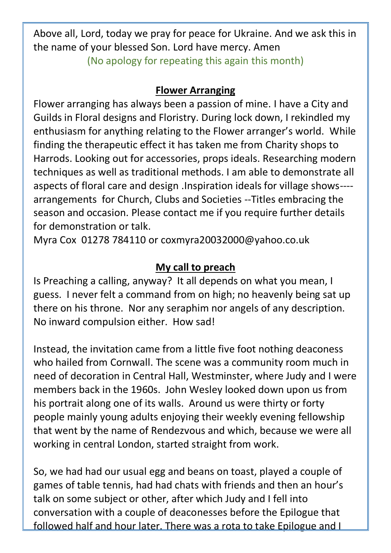Above all, Lord, today we pray for peace for Ukraine. And we ask this in the name of your blessed Son. Lord have mercy. Amen (No apology for repeating this again this month)

#### **Flower Arranging**

Flower arranging has always been a passion of mine. I have a City and Guilds in Floral designs and Floristry. During lock down, I rekindled my enthusiasm for anything relating to the Flower arranger's world. While finding the therapeutic effect it has taken me from Charity shops to Harrods. Looking out for accessories, props ideals. Researching modern techniques as well as traditional methods. I am able to demonstrate all aspects of floral care and design .Inspiration ideals for village shows--- arrangements for Church, Clubs and Societies --Titles embracing the season and occasion. Please contact me if you require further details for demonstration or talk.

Myra Cox 01278 784110 or [coxmyra20032000@yahoo.co.uk](mailto:coxmyra20032000@yahoo.co.uk)

#### **My call to preach**

Is Preaching a calling, anyway? It all depends on what you mean, I guess. I never felt a command from on high; no heavenly being sat up there on his throne. Nor any seraphim nor angels of any description. No inward compulsion either. How sad!

Instead, the invitation came from a little five foot nothing deaconess who hailed from Cornwall. The scene was a community room much in need of decoration in Central Hall, Westminster, where Judy and I were members back in the 1960s. John Wesley looked down upon us from his portrait along one of its walls. Around us were thirty or forty people mainly young adults enjoying their weekly evening fellowship that went by the name of Rendezvous and which, because we were all working in central London, started straight from work.

So, we had had our usual egg and beans on toast, played a couple of games of table tennis, had had chats with friends and then an hour's talk on some subject or other, after which Judy and I fell into conversation with a couple of deaconesses before the Epilogue that followed half and hour later. There was a rota to take Epilogue and I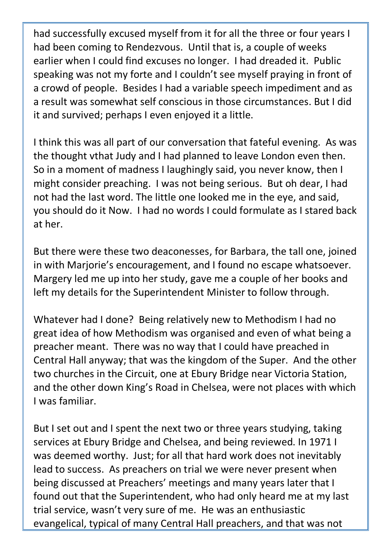had successfully excused myself from it for all the three or four years I had been coming to Rendezvous. Until that is, a couple of weeks earlier when I could find excuses no longer. I had dreaded it. Public speaking was not my forte and I couldn't see myself praying in front of a crowd of people. Besides I had a variable speech impediment and as a result was somewhat self conscious in those circumstances. But I did it and survived; perhaps I even enjoyed it a little.

I think this was all part of our conversation that fateful evening. As was the thought vthat Judy and I had planned to leave London even then. So in a moment of madness I laughingly said, you never know, then I might consider preaching. I was not being serious. But oh dear, I had not had the last word. The little one looked me in the eye, and said, you should do it Now. I had no words I could formulate as I stared back at her.

But there were these two deaconesses, for Barbara, the tall one, joined in with Marjorie's encouragement, and I found no escape whatsoever. Margery led me up into her study, gave me a couple of her books and left my details for the Superintendent Minister to follow through.

Whatever had I done? Being relatively new to Methodism I had no great idea of how Methodism was organised and even of what being a preacher meant. There was no way that I could have preached in Central Hall anyway; that was the kingdom of the Super. And the other two churches in the Circuit, one at Ebury Bridge near Victoria Station, and the other down King's Road in Chelsea, were not places with which I was familiar.

But I set out and I spent the next two or three years studying, taking services at Ebury Bridge and Chelsea, and being reviewed. In 1971 I was deemed worthy. Just; for all that hard work does not inevitably lead to success. As preachers on trial we were never present when being discussed at Preachers' meetings and many years later that I found out that the Superintendent, who had only heard me at my last trial service, wasn't very sure of me. He was an enthusiastic evangelical, typical of many Central Hall preachers, and that was not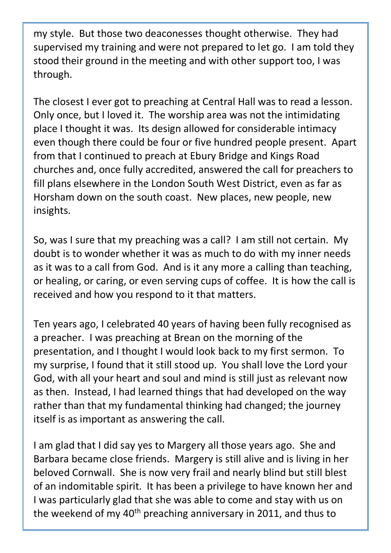my style. But those two deaconesses thought otherwise. They had supervised my training and were not prepared to let go. I am told they stood their ground in the meeting and with other support too, I was through.

The closest I ever got to preaching at Central Hall was to read a lesson. Only once, but I loved it. The worship area was not the intimidating place I thought it was. Its design allowed for considerable intimacy even though there could be four or five hundred people present. Apart from that I continued to preach at Ebury Bridge and Kings Road churches and, once fully accredited, answered the call for preachers to fill plans elsewhere in the London South West District, even as far as Horsham down on the south coast. New places, new people, new insights.

So, was I sure that my preaching was a call? I am still not certain. My doubt is to wonder whether it was as much to do with my inner needs as it was to a call from God. And is it any more a calling than teaching, or healing, or caring, or even serving cups of coffee. It is how the call is received and how you respond to it that matters.

Ten years ago, I celebrated 40 years of having been fully recognised as a preacher. I was preaching at Brean on the morning of the presentation, and I thought I would look back to my first sermon. To my surprise, I found that it still stood up. You shall love the Lord your God, with all your heart and soul and mind is still just as relevant now as then. Instead, I had learned things that had developed on the way rather than that my fundamental thinking had changed; the journey itself is as important as answering the call.

I am glad that I did say yes to Margery all those years ago. She and Barbara became close friends. Margery is still alive and is living in her beloved Cornwall. She is now very frail and nearly blind but still blest of an indomitable spirit. It has been a privilege to have known her and I was particularly glad that she was able to come and stay with us on the weekend of my 40<sup>th</sup> preaching anniversary in 2011, and thus to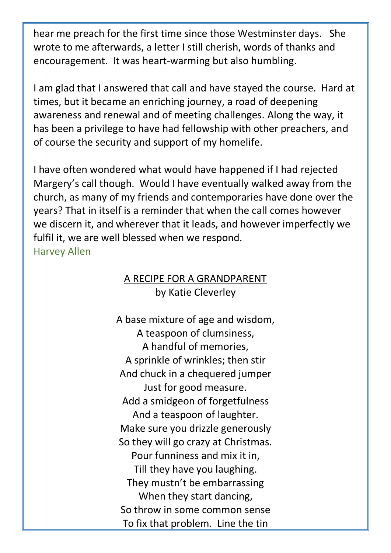hear me preach for the first time since those Westminster days. She wrote to me afterwards, a letter I still cherish, words of thanks and encouragement. It was heart-warming but also humbling.

I am glad that I answered that call and have stayed the course. Hard at times, but it became an enriching journey, a road of deepening awareness and renewal and of meeting challenges. Along the way, it has been a privilege to have had fellowship with other preachers, and of course the security and support of my homelife.

I have often wondered what would have happened if I had rejected Margery's call though. Would I have eventually walked away from the church, as many of my friends and contemporaries have done over the years? That in itself is a reminder that when the call comes however we discern it, and wherever that it leads, and however imperfectly we fulfil it, we are well blessed when we respond. Harvey Allen

#### A RECIPE FOR A GRANDPARENT by Katie Cleverley

A base mixture of age and wisdom, A teaspoon of clumsiness, A handful of memories, A sprinkle of wrinkles; then stir And chuck in a chequered jumper Just for good measure. Add a smidgeon of forgetfulness And a teaspoon of laughter. Make sure you drizzle generously So they will go crazy at Christmas. Pour funniness and mix it in, Till they have you laughing. They mustn't be embarrassing When they start dancing, So throw in some common sense To fix that problem. Line the tin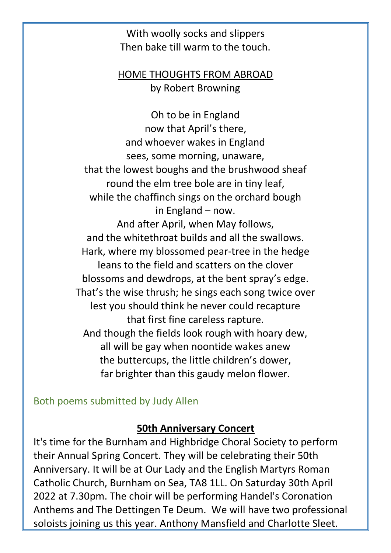With woolly socks and slippers Then bake till warm to the touch.

#### HOME THOUGHTS FROM ABROAD by Robert Browning

Oh to be in England now that April's there, and whoever wakes in England sees, some morning, unaware, that the lowest boughs and the brushwood sheaf round the elm tree bole are in tiny leaf, while the chaffinch sings on the orchard bough in England – now. And after April, when May follows, and the whitethroat builds and all the swallows. Hark, where my blossomed pear-tree in the hedge leans to the field and scatters on the clover blossoms and dewdrops, at the bent spray's edge. That's the wise thrush; he sings each song twice over lest you should think he never could recapture that first fine careless rapture. And though the fields look rough with hoary dew, all will be gay when noontide wakes anew the buttercups, the little children's dower, far brighter than this gaudy melon flower.

Both poems submitted by Judy Allen

#### **50th Anniversary Concert**

It's time for the Burnham and Highbridge Choral Society to perform their Annual Spring Concert. They will be celebrating their 50th Anniversary. It will be at Our Lady and the English Martyrs Roman Catholic Church, Burnham on Sea, TA8 1LL. On Saturday 30th April 2022 at 7.30pm. The choir will be performing Handel's Coronation Anthems and The Dettingen Te Deum. We will have two professional soloists joining us this year. Anthony Mansfield and Charlotte Sleet.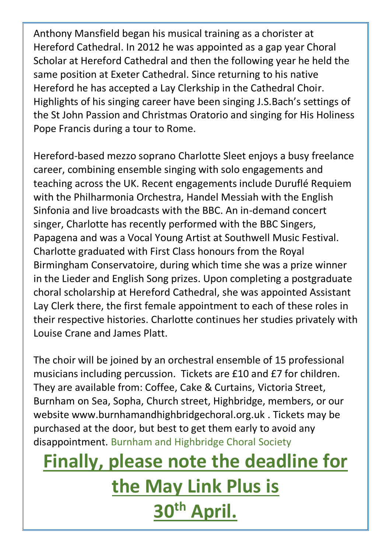Anthony Mansfield began his musical training as a chorister at Hereford Cathedral. In 2012 he was appointed as a gap year Choral Scholar at Hereford Cathedral and then the following year he held the same position at Exeter Cathedral. Since returning to his native Hereford he has accepted a Lay Clerkship in the Cathedral Choir. Highlights of his singing career have been singing J.S.Bach's settings of the St John Passion and Christmas Oratorio and singing for His Holiness Pope Francis during a tour to Rome.

Hereford-based mezzo soprano Charlotte Sleet enjoys a busy freelance career, combining ensemble singing with solo engagements and teaching across the UK. Recent engagements include Duruflé Requiem with the Philharmonia Orchestra, Handel Messiah with the English Sinfonia and live broadcasts with the BBC. An in-demand concert singer, Charlotte has recently performed with the BBC Singers, Papagena and was a Vocal Young Artist at Southwell Music Festival. Charlotte graduated with First Class honours from the Royal Birmingham Conservatoire, during which time she was a prize winner in the Lieder and English Song prizes. Upon completing a postgraduate choral scholarship at Hereford Cathedral, she was appointed Assistant Lay Clerk there, the first female appointment to each of these roles in their respective histories. Charlotte continues her studies privately with Louise Crane and James Platt.

The choir will be joined by an orchestral ensemble of 15 professional musicians including percussion. Tickets are £10 and £7 for children. They are available from: Coffee, Cake & Curtains, Victoria Street, Burnham on Sea, Sopha, Church street, Highbridge, members, or our website www.burnhamandhighbridgechoral.org.uk . Tickets may be purchased at the door, but best to get them early to avoid any disappointment. Burnham and Highbridge Choral Society

## **Finally, please note the deadline for the May Link Plus is 30th April.**